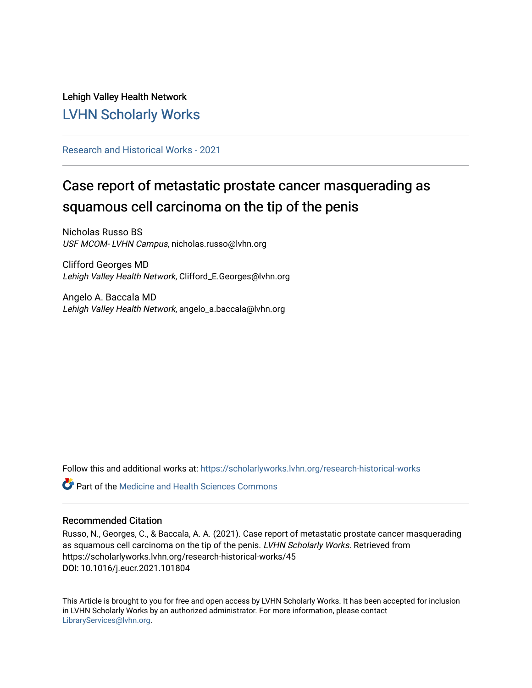## Lehigh Valley Health Network [LVHN Scholarly Works](https://scholarlyworks.lvhn.org/)

[Research and Historical Works - 2021](https://scholarlyworks.lvhn.org/research-historical-works) 

# Case report of metastatic prostate cancer masquerading as squamous cell carcinoma on the tip of the penis

Nicholas Russo BS USF MCOM- LVHN Campus, nicholas.russo@lvhn.org

Clifford Georges MD Lehigh Valley Health Network, Clifford\_E.Georges@lvhn.org

Angelo A. Baccala MD Lehigh Valley Health Network, angelo\_a.baccala@lvhn.org

Follow this and additional works at: [https://scholarlyworks.lvhn.org/research-historical-works](https://scholarlyworks.lvhn.org/research-historical-works?utm_source=scholarlyworks.lvhn.org%2Fresearch-historical-works%2F45&utm_medium=PDF&utm_campaign=PDFCoverPages)

**P** Part of the Medicine and Health Sciences Commons

### Recommended Citation

Russo, N., Georges, C., & Baccala, A. A. (2021). Case report of metastatic prostate cancer masquerading as squamous cell carcinoma on the tip of the penis. LVHN Scholarly Works. Retrieved from https://scholarlyworks.lvhn.org/research-historical-works/45 DOI: 10.1016/j.eucr.2021.101804

This Article is brought to you for free and open access by LVHN Scholarly Works. It has been accepted for inclusion in LVHN Scholarly Works by an authorized administrator. For more information, please contact [LibraryServices@lvhn.org](mailto:LibraryServices@lvhn.org).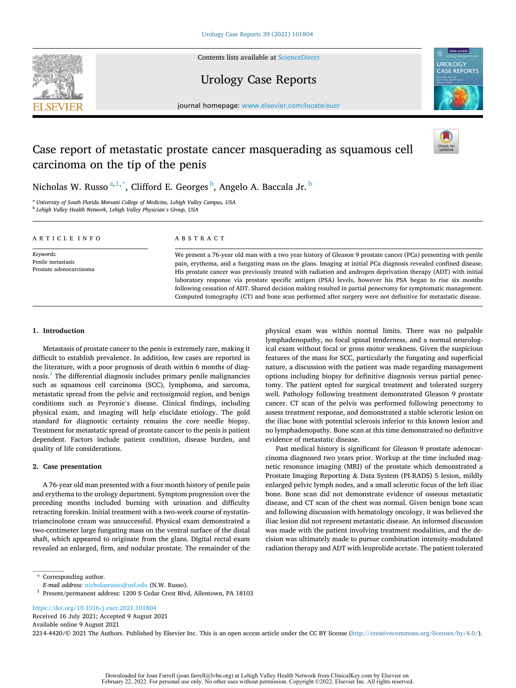

Contents lists available at [ScienceDirect](www.sciencedirect.com/science/journal/22144420)

## Urology Case Reports



journal homepage: [www.elsevier.com/locate/eucr](https://www.elsevier.com/locate/eucr)

## Case report of metastatic prostate cancer masquerading as squamous cell carcinoma on the tip of the penis



physical exam was within normal limits. There was no palpable lymphadenopathy, no focal spinal tenderness, and a normal neurological exam without focal or gross motor weakness. Given the suspicious features of the mass for SCC, particularly the fungating and superficial nature, a discussion with the patient was made regarding management options including biopsy for definitive diagnosis versus partial penectomy. The patient opted for surgical treatment and tolerated surgery well. Pathology following treatment demonstrated Gleason 9 prostate cancer. CT scan of the pelvis was performed following penectomy to assess treatment response, and demonstrated a stable sclerotic lesion on the iliac bone with potential sclerosis inferior to this known lesion and no lymphadenopathy. Bone scan at this time demonstrated no definitive

Past medical history is significant for Gleason 9 prostate adenocarcinoma diagnosed two years prior. Workup at the time included magnetic resonance imaging (MRI) of the prostate which demonstrated a Prostate Imaging Reporting & Data System (PI-RADS) 5 lesion, mildly enlarged pelvic lymph nodes, and a small sclerotic focus of the left iliac bone. Bone scan did not demonstrate evidence of osseous metastatic disease, and CT scan of the chest was normal. Given benign bone scan and following discussion with hematology oncology, it was believed the iliac lesion did not represent metastatic disease. An informed discussion was made with the patient involving treatment modalities, and the decision was ultimately made to pursue combination intensity-modulated radiation therapy and ADT with leuprolide acetate. The patient tolerated

evidence of metastatic disease.

Nicholas W. Russo $^{\mathrm{a},1,\mathrm{*}}$ , Clifford E. Georges $^{\mathrm{b}}$ , Angelo A. Baccala Jr.  $^{\mathrm{b}}$ 

<sup>a</sup> *University of South Florida Morsani College of Medicine, Lehigh Valley Campus, USA* <sup>b</sup> *Lehigh Valley Health Network, Lehigh Valley Physician's Group, USA* 

| ARTICLE INFO                                              | ABSTRACT                                                                                                                                                                                                                                                                                                                                                                                                                                                                                                                                                                                                                                                                                    |
|-----------------------------------------------------------|---------------------------------------------------------------------------------------------------------------------------------------------------------------------------------------------------------------------------------------------------------------------------------------------------------------------------------------------------------------------------------------------------------------------------------------------------------------------------------------------------------------------------------------------------------------------------------------------------------------------------------------------------------------------------------------------|
| Keywords:<br>Penile metastasis<br>Prostate adenocarcinoma | We present a 76-year old man with a two year history of Gleason 9 prostate cancer (PCa) presenting with penile<br>pain, erythema, and a fungating mass on the glans. Imaging at initial PCa diagnosis revealed confined disease.<br>His prostate cancer was previously treated with radiation and androgen deprivation therapy (ADT) with initial<br>laboratory response via prostate specific antigen (PSA) levels, however his PSA began to rise six months<br>following cessation of ADT. Shared decision making resulted in partial penectomy for symptomatic management.<br>Computed tomography (CT) and bone scan performed after surgery were not definitive for metastatic disease. |

#### **1. Introduction**

Metastasis of prostate cancer to the penis is extremely rare, making it difficult to establish prevalence. In addition, few cases are reported in the literature, with a poor prognosis of death within 6 months of diagnosis.<sup>1</sup> The differential diagnosis includes primary penile malignancies such as squamous cell carcinoma (SCC), lymphoma, and sarcoma, metastatic spread from the pelvic and rectosigmoid region, and benign conditions such as Peyronie's disease. Clinical findings, including physical exam, and imaging will help elucidate etiology. The gold standard for diagnostic certainty remains the core needle biopsy. Treatment for metastatic spread of prostate cancer to the penis is patient dependent. Factors include patient condition, disease burden, and quality of life considerations.

#### **2. Case presentation**

A 76-year old man presented with a four month history of penile pain and erythema to the urology department. Symptom progression over the preceding months included burning with urination and difficulty retracting foreskin. Initial treatment with a two-week course of nystatintriamcinolone cream was unsuccessful. Physical exam demonstrated a two-centimeter large fungating mass on the ventral surface of the distal shaft, which appeared to originate from the glans. Digital rectal exam revealed an enlarged, firm, and nodular prostate. The remainder of the

<https://doi.org/10.1016/j.eucr.2021.101804>

Available online 9 August 2021 Received 16 July 2021; Accepted 9 August 2021

2214-4420/© 2021 The Authors. Published by Elsevier Inc. This is an open access article under the CC BY license(<http://creativecommons.org/licenses/by/4.0/>).

<sup>\*</sup> Corresponding author.<br>E-mail address: nicholasrusso@usf.edu (N.W. Russo).

<sup>&</sup>lt;sup>1</sup> Present/permanent address: 1200 S Cedar Crest Blvd, Allentown, PA 18103